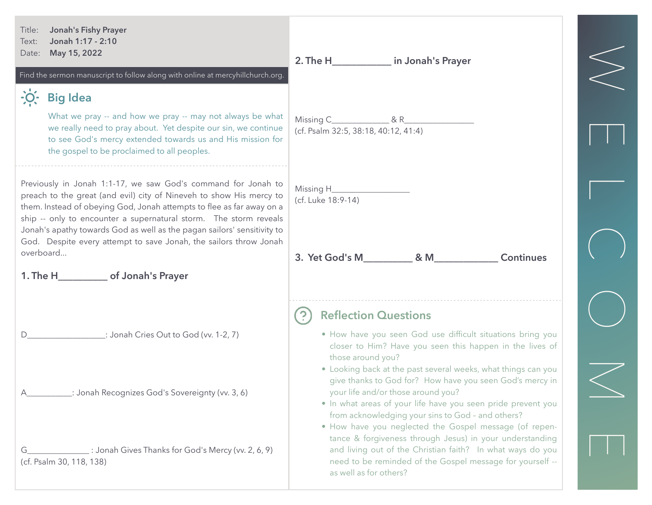| <b>Jonah's Fishy Prayer</b><br>Title:<br>Jonah 1:17 - 2:10<br>Text:<br>May 15, 2022<br>Date:<br>Find the sermon manuscript to follow along with online at mercyhillchurch.org.                                                                                                                                                                                                                                                                                                             | 2. The H______________ in Jonah's Prayer                                                                                                                                                                                                                                                                                                                                                                                                                           |  |
|--------------------------------------------------------------------------------------------------------------------------------------------------------------------------------------------------------------------------------------------------------------------------------------------------------------------------------------------------------------------------------------------------------------------------------------------------------------------------------------------|--------------------------------------------------------------------------------------------------------------------------------------------------------------------------------------------------------------------------------------------------------------------------------------------------------------------------------------------------------------------------------------------------------------------------------------------------------------------|--|
| <b>Big Idea</b><br>What we pray -- and how we pray -- may not always be what<br>we really need to pray about. Yet despite our sin, we continue<br>to see God's mercy extended towards us and His mission for<br>the gospel to be proclaimed to all peoples.                                                                                                                                                                                                                                | (cf. Psalm 32:5, 38:18, 40:12, 41:4)                                                                                                                                                                                                                                                                                                                                                                                                                               |  |
| Previously in Jonah 1:1-17, we saw God's command for Jonah to<br>preach to the great (and evil) city of Nineveh to show His mercy to<br>them. Instead of obeying God, Jonah attempts to flee as far away on a<br>ship -- only to encounter a supernatural storm. The storm reveals<br>Jonah's apathy towards God as well as the pagan sailors' sensitivity to<br>God. Despite every attempt to save Jonah, the sailors throw Jonah<br>overboard<br>1. The H_____________ of Jonah's Prayer | (cf. Luke 18:9-14)<br><b>Continues</b>                                                                                                                                                                                                                                                                                                                                                                                                                             |  |
| : Jonah Cries Out to God (vv. 1-2, 7)<br>: Jonah Recognizes God's Sovereignty (vv. 3, 6)                                                                                                                                                                                                                                                                                                                                                                                                   | <b>Reflection Questions</b><br>. How have you seen God use difficult situations bring you<br>closer to Him? Have you seen this happen in the lives of<br>those around you?<br>• Looking back at the past several weeks, what things can you<br>give thanks to God for? How have you seen God's mercy in<br>your life and/or those around you?<br>• In what areas of your life have you seen pride prevent you<br>from acknowledging your sins to God - and others? |  |
| : Jonah Gives Thanks for God's Mercy (vv. 2, 6, 9)<br>G<br>(cf. Psalm 30, 118, 138)                                                                                                                                                                                                                                                                                                                                                                                                        | . How have you neglected the Gospel message (of repen-<br>tance & forgiveness through Jesus) in your understanding<br>and living out of the Christian faith? In what ways do you<br>need to be reminded of the Gospel message for yourself --<br>as well as for others?                                                                                                                                                                                            |  |